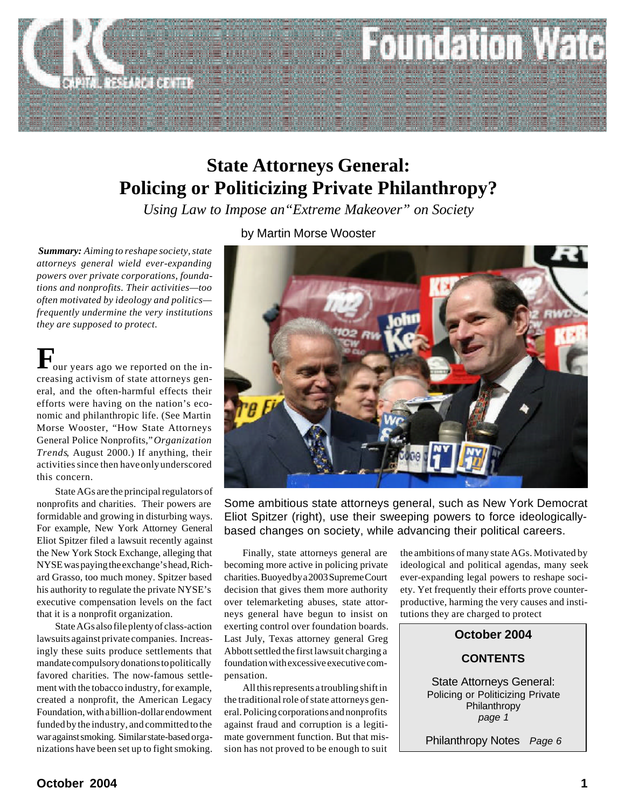

## **State Attorneys General: Policing or Politicizing Private Philanthropy?**

*Using Law to Impose an"Extreme Makeover" on Society*

*Summary: Aiming to reshape society, state attorneys general wield ever-expanding powers over private corporations, foundations and nonprofits. Their activities—too often motivated by ideology and politics frequently undermine the very institutions they are supposed to protect.*

 ${\bf F}_{\rm our \, years \, ago \, we \, reported \, on \, the \, increasing \, activations of \, state \, attorneys \, gen$ our years ago we reported on the ineral, and the often-harmful effects their efforts were having on the nation's economic and philanthropic life. (See Martin Morse Wooster, "How State Attorneys General Police Nonprofits," *Organization Trends*, August 2000.) If anything, their activities since then have only underscored this concern.

State AGs are the principal regulators of nonprofits and charities. Their powers are formidable and growing in disturbing ways. For example, New York Attorney General Eliot Spitzer filed a lawsuit recently against the New York Stock Exchange, alleging that NYSE was paying the exchange's head, Richard Grasso, too much money. Spitzer based his authority to regulate the private NYSE's executive compensation levels on the fact that it is a nonprofit organization.

State AGs also file plenty of class-action lawsuits against private companies. Increasingly these suits produce settlements that mandate compulsory donations to politically favored charities. The now-famous settlement with the tobacco industry, for example, created a nonprofit, the American Legacy Foundation, with a billion-dollar endowment funded by the industry, and committed to the war against smoking. Similar state-based organizations have been set up to fight smoking.

by Martin Morse Wooster



Some ambitious state attorneys general, such as New York Democrat Eliot Spitzer (right), use their sweeping powers to force ideologicallybased changes on society, while advancing their political careers.

Finally, state attorneys general are becoming more active in policing private charities. Buoyed by a 2003 Supreme Court decision that gives them more authority over telemarketing abuses, state attorneys general have begun to insist on exerting control over foundation boards. Last July, Texas attorney general Greg Abbott settled the first lawsuit charging a foundation with excessive executive compensation.

All this represents a troubling shift in the traditional role of state attorneys general. Policing corporations and nonprofits against fraud and corruption is a legitimate government function. But that mission has not proved to be enough to suit the ambitions of many state AGs. Motivated by ideological and political agendas, many seek ever-expanding legal powers to reshape society. Yet frequently their efforts prove counterproductive, harming the very causes and institutions they are charged to protect

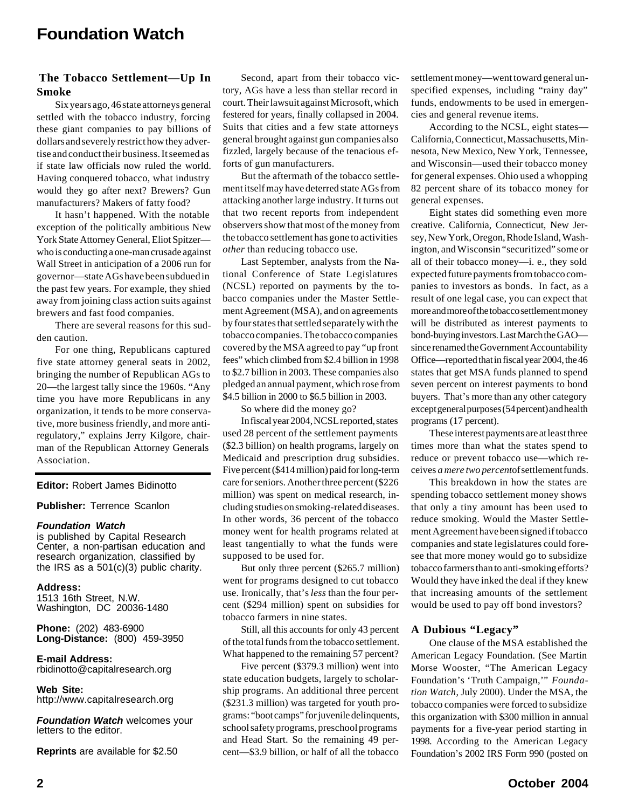#### **The Tobacco Settlement—Up In Smoke**

Six years ago, 46 state attorneys general settled with the tobacco industry, forcing these giant companies to pay billions of dollars and severely restrict how they advertise and conduct their business. It seemed as if state law officials now ruled the world. Having conquered tobacco, what industry would they go after next? Brewers? Gun manufacturers? Makers of fatty food?

It hasn't happened. With the notable exception of the politically ambitious New York State Attorney General, Eliot Spitzer who is conducting a one-man crusade against Wall Street in anticipation of a 2006 run for governor—state AGs have been subdued in the past few years. For example, they shied away from joining class action suits against brewers and fast food companies.

There are several reasons for this sudden caution.

For one thing, Republicans captured five state attorney general seats in 2002, bringing the number of Republican AGs to 20—the largest tally since the 1960s. "Any time you have more Republicans in any organization, it tends to be more conservative, more business friendly, and more antiregulatory," explains Jerry Kilgore, chairman of the Republican Attorney Generals Association.

#### **Editor:** Robert James Bidinotto

#### **Publisher:** Terrence Scanlon

#### *Foundation Watch*

is published by Capital Research Center, a non-partisan education and research organization, classified by the IRS as a 501(c)(3) public charity.

#### **Address:**

1513 16th Street, N.W. Washington, DC 20036-1480

**Phone:** (202) 483-6900 **Long-Distance:** (800) 459-3950

**E-mail Address:** rbidinotto@capitalresearch.org

**Web Site:** http://www.capitalresearch.org

*Foundation Watch* welcomes your letters to the editor.

**Reprints** are available for \$2.50

Second, apart from their tobacco victory, AGs have a less than stellar record in court. Their lawsuit against Microsoft, which festered for years, finally collapsed in 2004. Suits that cities and a few state attorneys general brought against gun companies also fizzled, largely because of the tenacious efforts of gun manufacturers.

But the aftermath of the tobacco settlement itself may have deterred state AGs from attacking another large industry. It turns out that two recent reports from independent observers show that most of the money from the tobacco settlement has gone to activities *other* than reducing tobacco use.

Last September, analysts from the National Conference of State Legislatures (NCSL) reported on payments by the tobacco companies under the Master Settlement Agreement (MSA), and on agreements by four states that settled separately with the tobacco companies. The tobacco companies covered by the MSA agreed to pay "up front fees" which climbed from \$2.4 billion in 1998 to \$2.7 billion in 2003. These companies also pledged an annual payment, which rose from \$4.5 billion in 2000 to \$6.5 billion in 2003.

So where did the money go?

In fiscal year 2004, NCSL reported, states used 28 percent of the settlement payments (\$2.3 billion) on health programs, largely on Medicaid and prescription drug subsidies. Five percent (\$414 million) paid for long-term care for seniors. Another three percent (\$226 million) was spent on medical research, including studies on smoking-related diseases. In other words, 36 percent of the tobacco money went for health programs related at least tangentially to what the funds were supposed to be used for.

But only three percent (\$265.7 million) went for programs designed to cut tobacco use. Ironically, that's *less* than the four percent (\$294 million) spent on subsidies for tobacco farmers in nine states.

Still, all this accounts for only 43 percent of the total funds from the tobacco settlement. What happened to the remaining 57 percent?

Five percent (\$379.3 million) went into state education budgets, largely to scholarship programs. An additional three percent (\$231.3 million) was targeted for youth programs: "boot camps" for juvenile delinquents, school safety programs, preschool programs and Head Start. So the remaining 49 percent—\$3.9 billion, or half of all the tobacco settlement money—went toward general unspecified expenses, including "rainy day" funds, endowments to be used in emergencies and general revenue items.

According to the NCSL, eight states— California, Connecticut, Massachusetts, Minnesota, New Mexico, New York, Tennessee, and Wisconsin—used their tobacco money for general expenses. Ohio used a whopping 82 percent share of its tobacco money for general expenses.

Eight states did something even more creative. California, Connecticut, New Jersey, New York, Oregon, Rhode Island, Washington, and Wisconsin "securitized" some or all of their tobacco money—i. e., they sold expected future payments from tobacco companies to investors as bonds. In fact, as a result of one legal case, you can expect that more and more of the tobacco settlement money will be distributed as interest payments to bond-buying investors. Last March the GAO since renamed the Government Accountability Office—reported that in fiscal year 2004, the 46 states that get MSA funds planned to spend seven percent on interest payments to bond buyers. That's more than any other category except general purposes (54 percent) and health programs (17 percent).

These interest payments are at least three times more than what the states spend to reduce or prevent tobacco use—which receives *a mere two percent* of settlement funds.

This breakdown in how the states are spending tobacco settlement money shows that only a tiny amount has been used to reduce smoking. Would the Master Settlement Agreement have been signed if tobacco companies and state legislatures could foresee that more money would go to subsidize tobacco farmers than to anti-smoking efforts? Would they have inked the deal if they knew that increasing amounts of the settlement would be used to pay off bond investors?

#### **A Dubious "Legacy"**

One clause of the MSA established the American Legacy Foundation. (See Martin Morse Wooster, "The American Legacy Foundation's 'Truth Campaign,'" *Foundation Watch*, July 2000). Under the MSA, the tobacco companies were forced to subsidize this organization with \$300 million in annual payments for a five-year period starting in 1998. According to the American Legacy Foundation's 2002 IRS Form 990 (posted on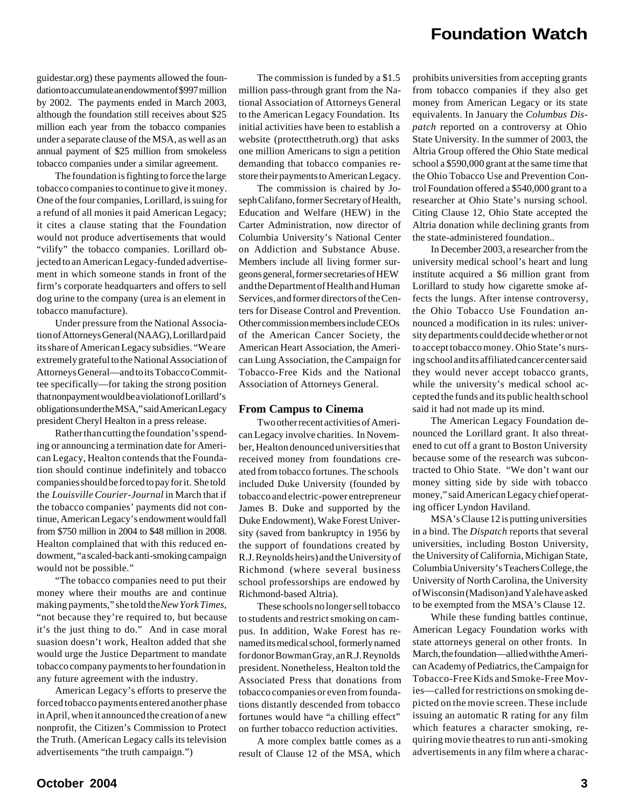guidestar.org) these payments allowed the foundation to accumulate an endowment of \$997 million by 2002. The payments ended in March 2003, although the foundation still receives about \$25 million each year from the tobacco companies under a separate clause of the MSA, as well as an annual payment of \$25 million from smokeless tobacco companies under a similar agreement.

The foundation is fighting to force the large tobacco companies to continue to give it money. One of the four companies, Lorillard, is suing for a refund of all monies it paid American Legacy; it cites a clause stating that the Foundation would not produce advertisements that would "vilify" the tobacco companies. Lorillard objected to an American Legacy-funded advertisement in which someone stands in front of the firm's corporate headquarters and offers to sell dog urine to the company (urea is an element in tobacco manufacture).

Under pressure from the National Association of Attorneys General (NAAG), Lorillard paid its share of American Legacy subsidies. "We are extremely grateful to the National Association of Attorneys General—and to its Tobacco Committee specifically—for taking the strong position that nonpayment would be a violation of Lorillard's obligations under the MSA," said American Legacy president Cheryl Healton in a press release.

Rather than cutting the foundation's spending or announcing a termination date for American Legacy, Healton contends that the Foundation should continue indefinitely and tobacco companies should be forced to pay for it. She told the *Louisville Courier-Journal* in March that if the tobacco companies' payments did not continue, American Legacy's endowment would fall from \$750 million in 2004 to \$48 million in 2008. Healton complained that with this reduced endowment, "a scaled-back anti-smoking campaign would not be possible."

"The tobacco companies need to put their money where their mouths are and continue making payments," she told the *New York Times*, "not because they're required to, but because it's the just thing to do." And in case moral suasion doesn't work, Healton added that she would urge the Justice Department to mandate tobacco company payments to her foundation in any future agreement with the industry.

American Legacy's efforts to preserve the forced tobacco payments entered another phase in April, when it announced the creation of a new nonprofit, the Citizen's Commission to Protect the Truth. (American Legacy calls its television advertisements "the truth campaign.")

The commission is funded by a \$1.5 million pass-through grant from the National Association of Attorneys General to the American Legacy Foundation. Its initial activities have been to establish a website (protectthetruth.org) that asks one million Americans to sign a petition demanding that tobacco companies restore their payments to American Legacy.

The commission is chaired by Joseph Califano, former Secretary of Health, Education and Welfare (HEW) in the Carter Administration, now director of Columbia University's National Center on Addiction and Substance Abuse. Members include all living former surgeons general, former secretaries of HEW and the Department of Health and Human Services, and former directors of the Centers for Disease Control and Prevention. Other commission members include CEOs of the American Cancer Society, the American Heart Association, the American Lung Association, the Campaign for Tobacco-Free Kids and the National Association of Attorneys General.

#### **From Campus to Cinema**

Two other recent activities of American Legacy involve charities. In November, Healton denounced universities that received money from foundations created from tobacco fortunes. The schools included Duke University (founded by tobacco and electric-power entrepreneur James B. Duke and supported by the Duke Endowment), Wake Forest University (saved from bankruptcy in 1956 by the support of foundations created by R.J. Reynolds heirs) and the University of Richmond (where several business school professorships are endowed by Richmond-based Altria).

These schools no longer sell tobacco to students and restrict smoking on campus. In addition, Wake Forest has renamed its medical school, formerly named for donor Bowman Gray, an R.J. Reynolds president. Nonetheless, Healton told the Associated Press that donations from tobacco companies or even from foundations distantly descended from tobacco fortunes would have "a chilling effect" on further tobacco reduction activities.

A more complex battle comes as a result of Clause 12 of the MSA, which

prohibits universities from accepting grants from tobacco companies if they also get money from American Legacy or its state equivalents. In January the *Columbus Dispatch* reported on a controversy at Ohio State University. In the summer of 2003, the Altria Group offered the Ohio State medical school a \$590,000 grant at the same time that the Ohio Tobacco Use and Prevention Control Foundation offered a \$540,000 grant to a researcher at Ohio State's nursing school. Citing Clause 12, Ohio State accepted the Altria donation while declining grants from the state-administered foundation..

In December 2003, a researcher from the university medical school's heart and lung institute acquired a \$6 million grant from Lorillard to study how cigarette smoke affects the lungs. After intense controversy, the Ohio Tobacco Use Foundation announced a modification in its rules: university departments could decide whether or not to accept tobacco money. Ohio State's nursing school and its affiliated cancer center said they would never accept tobacco grants, while the university's medical school accepted the funds and its public health school said it had not made up its mind.

The American Legacy Foundation denounced the Lorillard grant. It also threatened to cut off a grant to Boston University because some of the research was subcontracted to Ohio State. "We don't want our money sitting side by side with tobacco money," said American Legacy chief operating officer Lyndon Haviland.

MSA's Clause 12 is putting universities in a bind. The *Dispatch* reports that several universities, including Boston University, the University of California, Michigan State, Columbia University's Teachers College, the University of North Carolina, the University of Wisconsin (Madison) and Yale have asked to be exempted from the MSA's Clause 12.

While these funding battles continue, American Legacy Foundation works with state attorneys general on other fronts. In March, the foundation—allied with the American Academy of Pediatrics, the Campaign for Tobacco-Free Kids and Smoke-Free Movies—called for restrictions on smoking depicted on the movie screen. These include issuing an automatic R rating for any film which features a character smoking, requiring movie theatres to run anti-smoking advertisements in any film where a charac-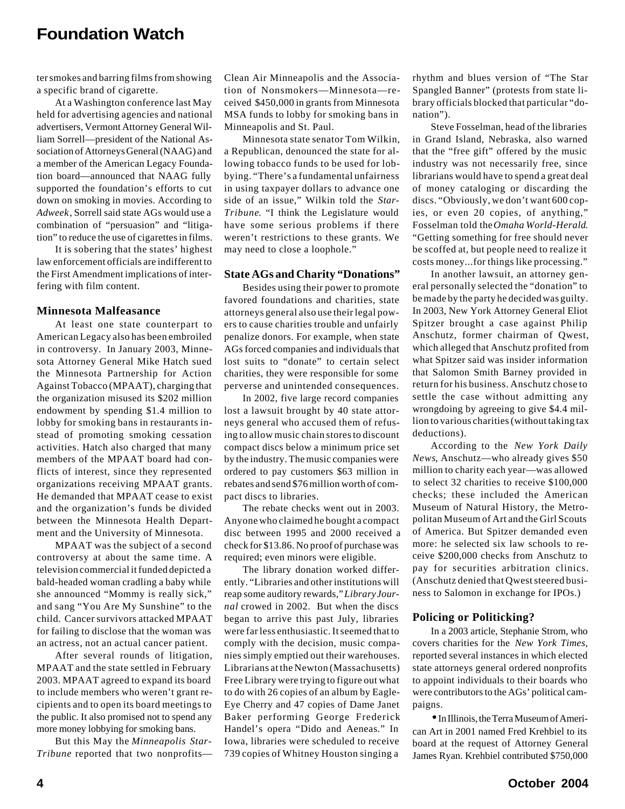ter smokes and barring films from showing a specific brand of cigarette.

At a Washington conference last May held for advertising agencies and national advertisers, Vermont Attorney General William Sorrell—president of the National Association of Attorneys General (NAAG) and a member of the American Legacy Foundation board—announced that NAAG fully supported the foundation's efforts to cut down on smoking in movies. According to *Adweek*, Sorrell said state AGs would use a combination of "persuasion" and "litigation" to reduce the use of cigarettes in films.

It is sobering that the states' highest law enforcement officials are indifferent to the First Amendment implications of interfering with film content.

#### **Minnesota Malfeasance**

At least one state counterpart to American Legacy also has been embroiled in controversy. In January 2003, Minnesota Attorney General Mike Hatch sued the Minnesota Partnership for Action Against Tobacco (MPAAT), charging that the organization misused its \$202 million endowment by spending \$1.4 million to lobby for smoking bans in restaurants instead of promoting smoking cessation activities. Hatch also charged that many members of the MPAAT board had conflicts of interest, since they represented organizations receiving MPAAT grants. He demanded that MPAAT cease to exist and the organization's funds be divided between the Minnesota Health Department and the University of Minnesota.

MPAAT was the subject of a second controversy at about the same time. A television commercial it funded depicted a bald-headed woman cradling a baby while she announced "Mommy is really sick," and sang "You Are My Sunshine" to the child. Cancer survivors attacked MPAAT for failing to disclose that the woman was an actress, not an actual cancer patient.

After several rounds of litigation, MPAAT and the state settled in February 2003. MPAAT agreed to expand its board to include members who weren't grant recipients and to open its board meetings to the public. It also promised not to spend any more money lobbying for smoking bans.

But this May the *Minneapolis Star-Tribune* reported that two nonprofitsClean Air Minneapolis and the Association of Nonsmokers—Minnesota—received \$450,000 in grants from Minnesota MSA funds to lobby for smoking bans in Minneapolis and St. Paul.

Minnesota state senator Tom Wilkin, a Republican, denounced the state for allowing tobacco funds to be used for lobbying. "There's a fundamental unfairness in using taxpayer dollars to advance one side of an issue," Wilkin told the *Star-Tribune*. "I think the Legislature would have some serious problems if there weren't restrictions to these grants. We may need to close a loophole."

#### **State AGs and Charity "Donations"**

Besides using their power to promote favored foundations and charities, state attorneys general also use their legal powers to cause charities trouble and unfairly penalize donors. For example, when state AGs forced companies and individuals that lost suits to "donate" to certain select charities, they were responsible for some perverse and unintended consequences.

In 2002, five large record companies lost a lawsuit brought by 40 state attorneys general who accused them of refusing to allow music chain stores to discount compact discs below a minimum price set by the industry. The music companies were ordered to pay customers \$63 million in rebates and send \$76 million worth of compact discs to libraries.

The rebate checks went out in 2003. Anyone who claimed he bought a compact disc between 1995 and 2000 received a check for \$13.86. No proof of purchase was required; even minors were eligible.

The library donation worked differently. "Libraries and other institutions will reap some auditory rewards," *Library Journal* crowed in 2002. But when the discs began to arrive this past July, libraries were far less enthusiastic. It seemed that to comply with the decision, music companies simply emptied out their warehouses. Librarians at the Newton (Massachusetts) Free Library were trying to figure out what to do with 26 copies of an album by Eagle-Eye Cherry and 47 copies of Dame Janet Baker performing George Frederick Handel's opera "Dido and Aeneas." In Iowa, libraries were scheduled to receive 739 copies of Whitney Houston singing a

rhythm and blues version of "The Star Spangled Banner" (protests from state library officials blocked that particular "donation").

Steve Fosselman, head of the libraries in Grand Island, Nebraska, also warned that the "free gift" offered by the music industry was not necessarily free, since librarians would have to spend a great deal of money cataloging or discarding the discs. "Obviously, we don't want 600 copies, or even 20 copies, of anything," Fosselman told the *Omaha World-Herald*. "Getting something for free should never be scoffed at, but people need to realize it costs money...for things like processing."

In another lawsuit, an attorney general personally selected the "donation" to be made by the party he decided was guilty. In 2003, New York Attorney General Eliot Spitzer brought a case against Philip Anschutz, former chairman of Qwest, which alleged that Anschutz profited from what Spitzer said was insider information that Salomon Smith Barney provided in return for his business. Anschutz chose to settle the case without admitting any wrongdoing by agreeing to give \$4.4 million to various charities (without taking tax deductions).

According to the *New York Daily News*, Anschutz—who already gives \$50 million to charity each year—was allowed to select 32 charities to receive \$100,000 checks; these included the American Museum of Natural History, the Metropolitan Museum of Art and the Girl Scouts of America. But Spitzer demanded even more: he selected six law schools to receive \$200,000 checks from Anschutz to pay for securities arbitration clinics. (Anschutz denied that Qwest steered business to Salomon in exchange for IPOs.)

#### **Policing or Politicking?**

In a 2003 article, Stephanie Strom, who covers charities for the *New York Times*, reported several instances in which elected state attorneys general ordered nonprofits to appoint individuals to their boards who were contributors to the AGs' political campaigns.

• In Illinois, the Terra Museum of American Art in 2001 named Fred Krehbiel to its board at the request of Attorney General James Ryan. Krehbiel contributed \$750,000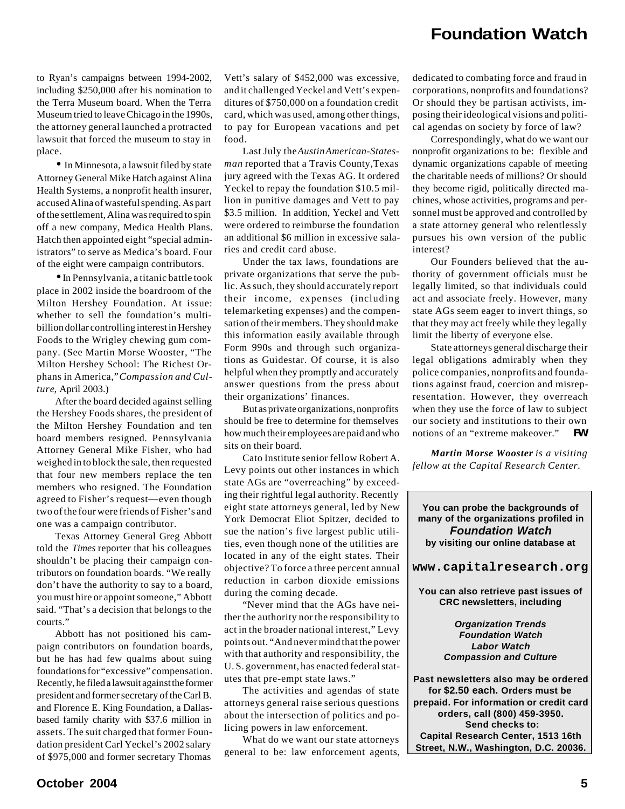to Ryan's campaigns between 1994-2002, including \$250,000 after his nomination to the Terra Museum board. When the Terra Museum tried to leave Chicago in the 1990s, the attorney general launched a protracted lawsuit that forced the museum to stay in place.

• In Minnesota, a lawsuit filed by state Attorney General Mike Hatch against Alina Health Systems, a nonprofit health insurer, accused Alina of wasteful spending. As part of the settlement, Alina was required to spin off a new company, Medica Health Plans. Hatch then appointed eight "special administrators" to serve as Medica's board. Four of the eight were campaign contributors.

• In Pennsylvania, a titanic battle took place in 2002 inside the boardroom of the Milton Hershey Foundation. At issue: whether to sell the foundation's multibillion dollar controlling interest in Hershey Foods to the Wrigley chewing gum company. (See Martin Morse Wooster, "The Milton Hershey School: The Richest Orphans in America," *Compassion and Culture*, April 2003.)

After the board decided against selling the Hershey Foods shares, the president of the Milton Hershey Foundation and ten board members resigned. Pennsylvania Attorney General Mike Fisher, who had weighed in to block the sale, then requested that four new members replace the ten members who resigned. The Foundation agreed to Fisher's request—even though two of the four were friends of Fisher's and one was a campaign contributor.

Texas Attorney General Greg Abbott told the *Times* reporter that his colleagues shouldn't be placing their campaign contributors on foundation boards. "We really don't have the authority to say to a board, you must hire or appoint someone," Abbott said. "That's a decision that belongs to the courts."

Abbott has not positioned his campaign contributors on foundation boards, but he has had few qualms about suing foundations for "excessive" compensation. Recently, he filed a lawsuit against the former president and former secretary of the Carl B. and Florence E. King Foundation, a Dallasbased family charity with \$37.6 million in assets. The suit charged that former Foundation president Carl Yeckel's 2002 salary of \$975,000 and former secretary Thomas

Vett's salary of \$452,000 was excessive, and it challenged Yeckel and Vett's expenditures of \$750,000 on a foundation credit card, which was used, among other things, to pay for European vacations and pet food.

Last July the *Austin American-Statesman* reported that a Travis County,Texas jury agreed with the Texas AG. It ordered Yeckel to repay the foundation \$10.5 million in punitive damages and Vett to pay \$3.5 million. In addition, Yeckel and Vett were ordered to reimburse the foundation an additional \$6 million in excessive salaries and credit card abuse.

Under the tax laws, foundations are private organizations that serve the public. As such, they should accurately report their income, expenses (including telemarketing expenses) and the compensation of their members. They should make this information easily available through Form 990s and through such organizations as Guidestar. Of course, it is also helpful when they promptly and accurately answer questions from the press about their organizations' finances.

But as private organizations, nonprofits should be free to determine for themselves how much their employees are paid and who sits on their board.

Cato Institute senior fellow Robert A. Levy points out other instances in which state AGs are "overreaching" by exceeding their rightful legal authority. Recently eight state attorneys general, led by New York Democrat Eliot Spitzer, decided to sue the nation's five largest public utilities, even though none of the utilities are located in any of the eight states. Their objective? To force a three percent annual reduction in carbon dioxide emissions during the coming decade.

"Never mind that the AGs have neither the authority nor the responsibility to act in the broader national interest," Levy points out. "And never mind that the power with that authority and responsibility, the U. S. government, has enacted federal statutes that pre-empt state laws."

The activities and agendas of state attorneys general raise serious questions about the intersection of politics and policing powers in law enforcement.

What do we want our state attorneys general to be: law enforcement agents,

dedicated to combating force and fraud in corporations, nonprofits and foundations? Or should they be partisan activists, imposing their ideological visions and political agendas on society by force of law?

Correspondingly, what do we want our nonprofit organizations to be: flexible and dynamic organizations capable of meeting the charitable needs of millions? Or should they become rigid, politically directed machines, whose activities, programs and personnel must be approved and controlled by a state attorney general who relentlessly pursues his own version of the public interest?

Our Founders believed that the authority of government officials must be legally limited, so that individuals could act and associate freely. However, many state AGs seem eager to invert things, so that they may act freely while they legally limit the liberty of everyone else.

State attorneys general discharge their legal obligations admirably when they police companies, nonprofits and foundations against fraud, coercion and misrepresentation. However, they overreach when they use the force of law to subject our society and institutions to their own notions of an "extreme makeover." *FW*

*Martin Morse Wooster is a visiting fellow at the Capital Research Center.*

**You can probe the backgrounds of many of the organizations profiled in** *Foundation Watch* **by visiting our online database at**

**www.capitalresearch.org**

**You can also retrieve past issues of CRC newsletters, including**

> *Organization Trends Foundation Watch Labor Watch Compassion and Culture*

**Past newsletters also may be ordered for \$2.50 each. Orders must be prepaid. For information or credit card orders, call (800) 459-3950. Send checks to: Capital Research Center, 1513 16th Street, N.W., Washington, D.C. 20036.**